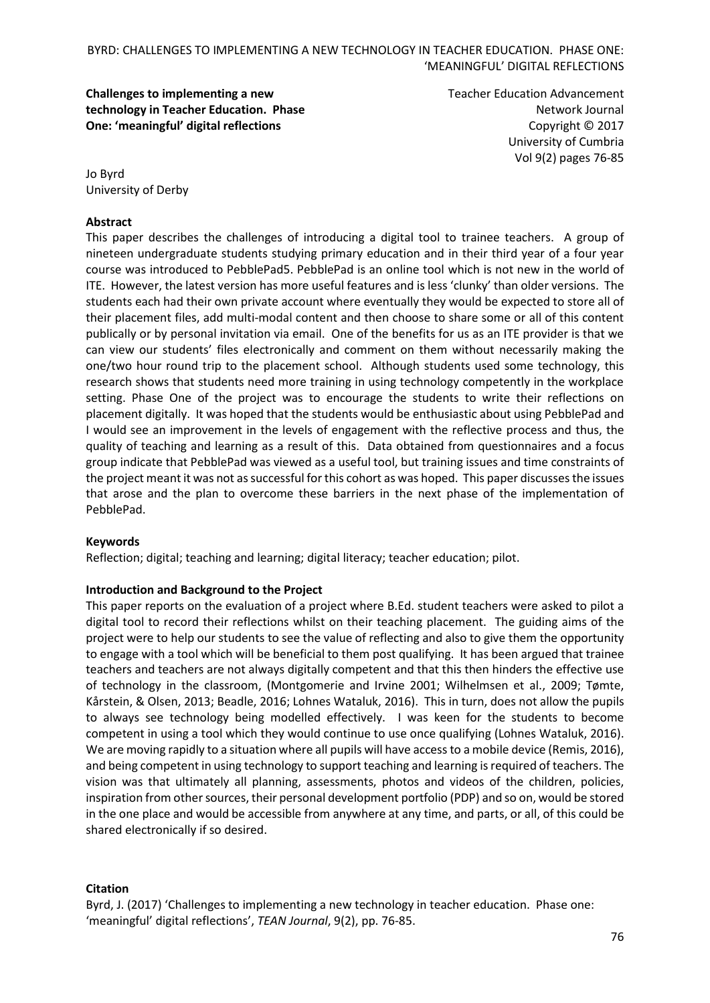**Challenges to implementing a new technology in Teacher Education. Phase One: 'meaningful' digital reflections**

Teacher Education Advancement Network Journal Copyright © 2017 University of Cumbria Vol 9(2) pages 76-85

Jo Byrd University of Derby

### **Abstract**

This paper describes the challenges of introducing a digital tool to trainee teachers. A group of nineteen undergraduate students studying primary education and in their third year of a four year course was introduced to PebblePad5. PebblePad is an online tool which is not new in the world of ITE. However, the latest version has more useful features and is less 'clunky' than older versions. The students each had their own private account where eventually they would be expected to store all of their placement files, add multi-modal content and then choose to share some or all of this content publically or by personal invitation via email. One of the benefits for us as an ITE provider is that we can view our students' files electronically and comment on them without necessarily making the one/two hour round trip to the placement school. Although students used some technology, this research shows that students need more training in using technology competently in the workplace setting. Phase One of the project was to encourage the students to write their reflections on placement digitally. It was hoped that the students would be enthusiastic about using PebblePad and I would see an improvement in the levels of engagement with the reflective process and thus, the quality of teaching and learning as a result of this. Data obtained from questionnaires and a focus group indicate that PebblePad was viewed as a useful tool, but training issues and time constraints of the project meant it was not as successful for this cohort as was hoped. This paper discusses the issues that arose and the plan to overcome these barriers in the next phase of the implementation of PebblePad.

#### **Keywords**

Reflection; digital; teaching and learning; digital literacy; teacher education; pilot.

### **Introduction and Background to the Project**

This paper reports on the evaluation of a project where B.Ed. student teachers were asked to pilot a digital tool to record their reflections whilst on their teaching placement. The guiding aims of the project were to help our students to see the value of reflecting and also to give them the opportunity to engage with a tool which will be beneficial to them post qualifying. It has been argued that trainee teachers and teachers are not always digitally competent and that this then hinders the effective use of technology in the classroom, (Montgomerie and Irvine 2001; Wilhelmsen et al., 2009; Tømte, Kårstein, & Olsen, 2013; Beadle, 2016; Lohnes Wataluk, 2016). This in turn, does not allow the pupils to always see technology being modelled effectively. I was keen for the students to become competent in using a tool which they would continue to use once qualifying (Lohnes Wataluk, 2016). We are moving rapidly to a situation where all pupils will have access to a mobile device (Remis, 2016), and being competent in using technology to support teaching and learning is required of teachers. The vision was that ultimately all planning, assessments, photos and videos of the children, policies, inspiration from other sources, their personal development portfolio (PDP) and so on, would be stored in the one place and would be accessible from anywhere at any time, and parts, or all, of this could be shared electronically if so desired.

#### **Citation**

Byrd, J. (2017) 'Challenges to implementing a new technology in teacher education. Phase one: 'meaningful' digital reflections', *TEAN Journal*, 9(2), pp. 76-85.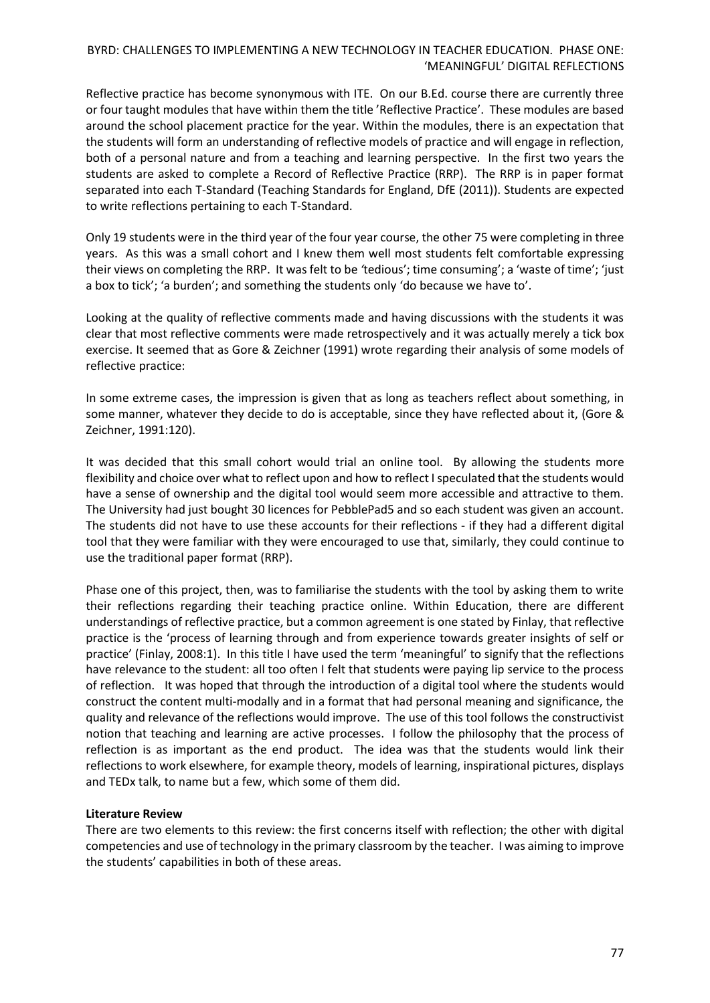Reflective practice has become synonymous with ITE. On our B.Ed. course there are currently three or four taught modules that have within them the title 'Reflective Practice'. These modules are based around the school placement practice for the year. Within the modules, there is an expectation that the students will form an understanding of reflective models of practice and will engage in reflection, both of a personal nature and from a teaching and learning perspective. In the first two years the students are asked to complete a Record of Reflective Practice (RRP). The RRP is in paper format separated into each T-Standard (Teaching Standards for England, DfE (2011)). Students are expected to write reflections pertaining to each T-Standard.

Only 19 students were in the third year of the four year course, the other 75 were completing in three years. As this was a small cohort and I knew them well most students felt comfortable expressing their views on completing the RRP. It was felt to be *'*tedious'; time consuming'; a 'waste of time'; 'just a box to tick'; 'a burden'; and something the students only 'do because we have to'.

Looking at the quality of reflective comments made and having discussions with the students it was clear that most reflective comments were made retrospectively and it was actually merely a tick box exercise. It seemed that as Gore & Zeichner (1991) wrote regarding their analysis of some models of reflective practice:

In some extreme cases, the impression is given that as long as teachers reflect about something, in some manner, whatever they decide to do is acceptable, since they have reflected about it, (Gore & Zeichner, 1991:120).

It was decided that this small cohort would trial an online tool. By allowing the students more flexibility and choice over what to reflect upon and how to reflect Ispeculated that the students would have a sense of ownership and the digital tool would seem more accessible and attractive to them. The University had just bought 30 licences for PebblePad5 and so each student was given an account. The students did not have to use these accounts for their reflections - if they had a different digital tool that they were familiar with they were encouraged to use that, similarly, they could continue to use the traditional paper format (RRP).

Phase one of this project, then, was to familiarise the students with the tool by asking them to write their reflections regarding their teaching practice online. Within Education, there are different understandings of reflective practice, but a common agreement is one stated by Finlay, that reflective practice is the 'process of learning through and from experience towards greater insights of self or practice' (Finlay, 2008:1). In this title I have used the term 'meaningful' to signify that the reflections have relevance to the student: all too often I felt that students were paying lip service to the process of reflection. It was hoped that through the introduction of a digital tool where the students would construct the content multi-modally and in a format that had personal meaning and significance, the quality and relevance of the reflections would improve. The use of this tool follows the constructivist notion that teaching and learning are active processes. I follow the philosophy that the process of reflection is as important as the end product. The idea was that the students would link their reflections to work elsewhere, for example theory, models of learning, inspirational pictures, displays and TEDx talk, to name but a few, which some of them did.

### **Literature Review**

There are two elements to this review: the first concerns itself with reflection; the other with digital competencies and use of technology in the primary classroom by the teacher. I was aiming to improve the students' capabilities in both of these areas.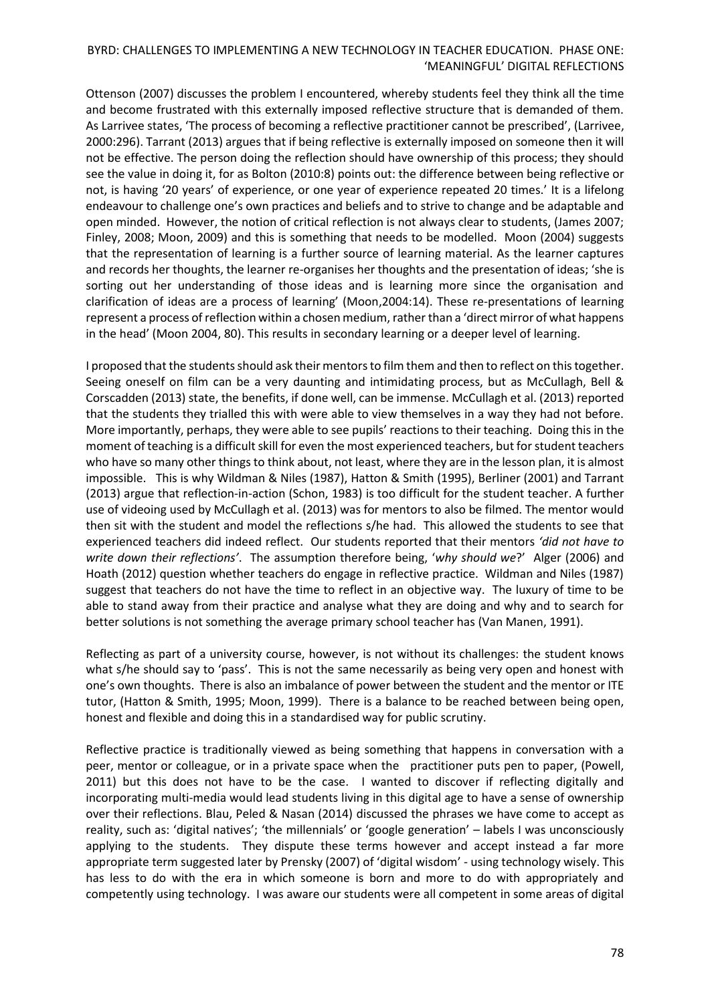Ottenson (2007) discusses the problem I encountered, whereby students feel they think all the time and become frustrated with this externally imposed reflective structure that is demanded of them. As Larrivee states, 'The process of becoming a reflective practitioner cannot be prescribed', (Larrivee, 2000:296). Tarrant (2013) argues that if being reflective is externally imposed on someone then it will not be effective. The person doing the reflection should have ownership of this process; they should see the value in doing it, for as Bolton (2010:8) points out: the difference between being reflective or not, is having '20 years' of experience, or one year of experience repeated 20 times.' It is a lifelong endeavour to challenge one's own practices and beliefs and to strive to change and be adaptable and open minded. However, the notion of critical reflection is not always clear to students, (James 2007; Finley, 2008; Moon, 2009) and this is something that needs to be modelled. Moon (2004) suggests that the representation of learning is a further source of learning material. As the learner captures and records her thoughts, the learner re-organises her thoughts and the presentation of ideas; 'she is sorting out her understanding of those ideas and is learning more since the organisation and clarification of ideas are a process of learning' (Moon,2004:14). These re-presentations of learning represent a process of reflection within a chosen medium, rather than a 'direct mirror of what happens in the head' (Moon 2004, 80). This results in secondary learning or a deeper level of learning.

I proposed that the students should ask their mentors to film them and then to reflect on this together. Seeing oneself on film can be a very daunting and intimidating process, but as McCullagh, Bell & Corscadden (2013) state, the benefits, if done well, can be immense. McCullagh et al. (2013) reported that the students they trialled this with were able to view themselves in a way they had not before. More importantly, perhaps, they were able to see pupils' reactions to their teaching. Doing this in the moment of teaching is a difficult skill for even the most experienced teachers, but for student teachers who have so many other things to think about, not least, where they are in the lesson plan, it is almost impossible. This is why Wildman & Niles (1987), Hatton & Smith (1995), Berliner (2001) and Tarrant (2013) argue that reflection-in-action (Schon, 1983) is too difficult for the student teacher. A further use of videoing used by McCullagh et al. (2013) was for mentors to also be filmed. The mentor would then sit with the student and model the reflections s/he had. This allowed the students to see that experienced teachers did indeed reflect. Our students reported that their mentors *'did not have to write down their reflections'*. The assumption therefore being, '*why should we*?' Alger (2006) and Hoath (2012) question whether teachers do engage in reflective practice. Wildman and Niles (1987) suggest that teachers do not have the time to reflect in an objective way. The luxury of time to be able to stand away from their practice and analyse what they are doing and why and to search for better solutions is not something the average primary school teacher has (Van Manen, 1991).

Reflecting as part of a university course, however, is not without its challenges: the student knows what s/he should say to 'pass'. This is not the same necessarily as being very open and honest with one's own thoughts. There is also an imbalance of power between the student and the mentor or ITE tutor, (Hatton & Smith, 1995; Moon, 1999). There is a balance to be reached between being open, honest and flexible and doing this in a standardised way for public scrutiny.

Reflective practice is traditionally viewed as being something that happens in conversation with a peer, mentor or colleague, or in a private space when the practitioner puts pen to paper, (Powell, 2011) but this does not have to be the case. I wanted to discover if reflecting digitally and incorporating multi-media would lead students living in this digital age to have a sense of ownership over their reflections. Blau, Peled & Nasan (2014) discussed the phrases we have come to accept as reality, such as: 'digital natives'; 'the millennials' or 'google generation' – labels I was unconsciously applying to the students. They dispute these terms however and accept instead a far more appropriate term suggested later by Prensky (2007) of 'digital wisdom' - using technology wisely. This has less to do with the era in which someone is born and more to do with appropriately and competently using technology. I was aware our students were all competent in some areas of digital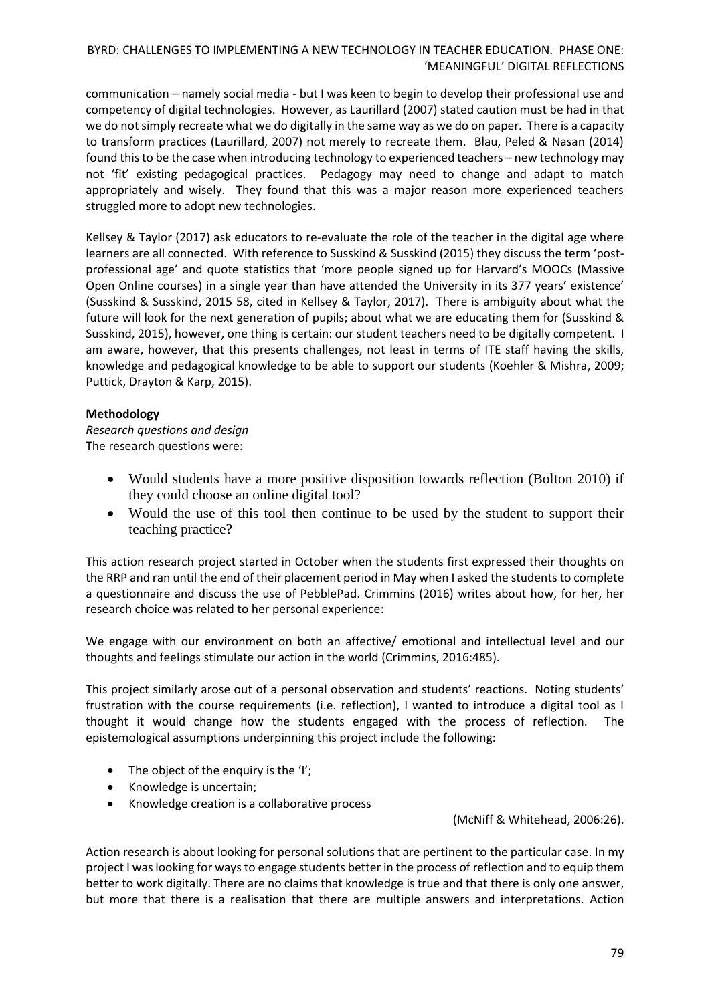communication – namely social media - but I was keen to begin to develop their professional use and competency of digital technologies. However, as Laurillard (2007) stated caution must be had in that we do not simply recreate what we do digitally in the same way as we do on paper. There is a capacity to transform practices (Laurillard, 2007) not merely to recreate them. Blau, Peled & Nasan (2014) found this to be the case when introducing technology to experienced teachers – new technology may not 'fit' existing pedagogical practices. Pedagogy may need to change and adapt to match appropriately and wisely. They found that this was a major reason more experienced teachers struggled more to adopt new technologies.

Kellsey & Taylor (2017) ask educators to re-evaluate the role of the teacher in the digital age where learners are all connected. With reference to Susskind & Susskind (2015) they discuss the term 'postprofessional age' and quote statistics that 'more people signed up for Harvard's MOOCs (Massive Open Online courses) in a single year than have attended the University in its 377 years' existence' (Susskind & Susskind, 2015 58, cited in Kellsey & Taylor, 2017). There is ambiguity about what the future will look for the next generation of pupils; about what we are educating them for (Susskind & Susskind, 2015), however, one thing is certain: our student teachers need to be digitally competent. I am aware, however, that this presents challenges, not least in terms of ITE staff having the skills, knowledge and pedagogical knowledge to be able to support our students (Koehler & Mishra, 2009; Puttick, Drayton & Karp, 2015).

# **Methodology**

*Research questions and design* The research questions were:

- Would students have a more positive disposition towards reflection (Bolton 2010) if they could choose an online digital tool?
- Would the use of this tool then continue to be used by the student to support their teaching practice?

This action research project started in October when the students first expressed their thoughts on the RRP and ran until the end of their placement period in May when I asked the students to complete a questionnaire and discuss the use of PebblePad. Crimmins (2016) writes about how, for her, her research choice was related to her personal experience:

We engage with our environment on both an affective/ emotional and intellectual level and our thoughts and feelings stimulate our action in the world (Crimmins, 2016:485).

This project similarly arose out of a personal observation and students' reactions. Noting students' frustration with the course requirements (i.e. reflection), I wanted to introduce a digital tool as I thought it would change how the students engaged with the process of reflection. The epistemological assumptions underpinning this project include the following:

- $\bullet$  The object of the enquiry is the 'I';
- Knowledge is uncertain;
- Knowledge creation is a collaborative process

(McNiff & Whitehead, 2006:26).

Action research is about looking for personal solutions that are pertinent to the particular case. In my project I was looking for ways to engage students better in the process of reflection and to equip them better to work digitally. There are no claims that knowledge is true and that there is only one answer, but more that there is a realisation that there are multiple answers and interpretations. Action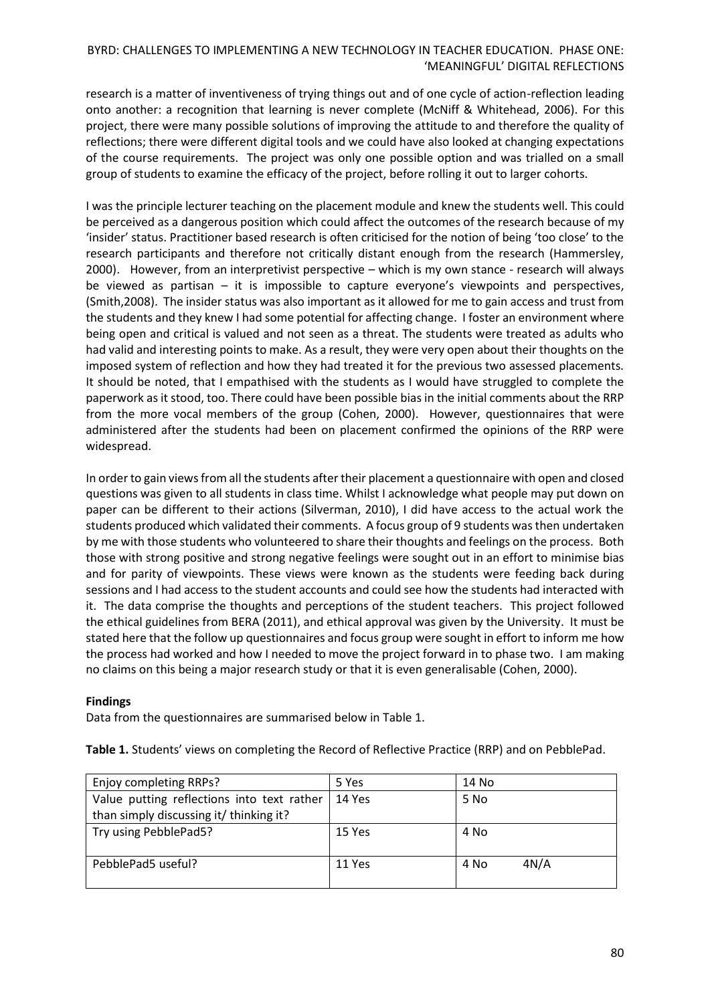research is a matter of inventiveness of trying things out and of one cycle of action-reflection leading onto another: a recognition that learning is never complete (McNiff & Whitehead, 2006). For this project, there were many possible solutions of improving the attitude to and therefore the quality of reflections; there were different digital tools and we could have also looked at changing expectations of the course requirements. The project was only one possible option and was trialled on a small group of students to examine the efficacy of the project, before rolling it out to larger cohorts.

I was the principle lecturer teaching on the placement module and knew the students well. This could be perceived as a dangerous position which could affect the outcomes of the research because of my 'insider' status. Practitioner based research is often criticised for the notion of being 'too close' to the research participants and therefore not critically distant enough from the research (Hammersley, 2000). However, from an interpretivist perspective – which is my own stance - research will always be viewed as partisan – it is impossible to capture everyone's viewpoints and perspectives, (Smith,2008). The insider status was also important as it allowed for me to gain access and trust from the students and they knew I had some potential for affecting change. I foster an environment where being open and critical is valued and not seen as a threat. The students were treated as adults who had valid and interesting points to make. As a result, they were very open about their thoughts on the imposed system of reflection and how they had treated it for the previous two assessed placements. It should be noted, that I empathised with the students as I would have struggled to complete the paperwork as it stood, too. There could have been possible bias in the initial comments about the RRP from the more vocal members of the group (Cohen, 2000). However, questionnaires that were administered after the students had been on placement confirmed the opinions of the RRP were widespread.

In order to gain views from all the students after their placement a questionnaire with open and closed questions was given to all students in class time. Whilst I acknowledge what people may put down on paper can be different to their actions (Silverman, 2010), I did have access to the actual work the students produced which validated their comments. A focus group of 9 students wasthen undertaken by me with those students who volunteered to share their thoughts and feelings on the process. Both those with strong positive and strong negative feelings were sought out in an effort to minimise bias and for parity of viewpoints. These views were known as the students were feeding back during sessions and I had access to the student accounts and could see how the students had interacted with it. The data comprise the thoughts and perceptions of the student teachers. This project followed the ethical guidelines from BERA (2011), and ethical approval was given by the University. It must be stated here that the follow up questionnaires and focus group were sought in effort to inform me how the process had worked and how I needed to move the project forward in to phase two. I am making no claims on this being a major research study or that it is even generalisable (Cohen, 2000).

### **Findings**

Data from the questionnaires are summarised below in Table 1.

**Table 1.** Students' views on completing the Record of Reflective Practice (RRP) and on PebblePad.

| Enjoy completing RRPs?                     | 5 Yes  | 14 No        |
|--------------------------------------------|--------|--------------|
| Value putting reflections into text rather | 14 Yes | 5 No         |
| than simply discussing it/ thinking it?    |        |              |
| Try using PebblePad5?                      | 15 Yes | 4 No         |
|                                            |        |              |
| PebblePad5 useful?                         | 11 Yes | 4N/A<br>4 No |
|                                            |        |              |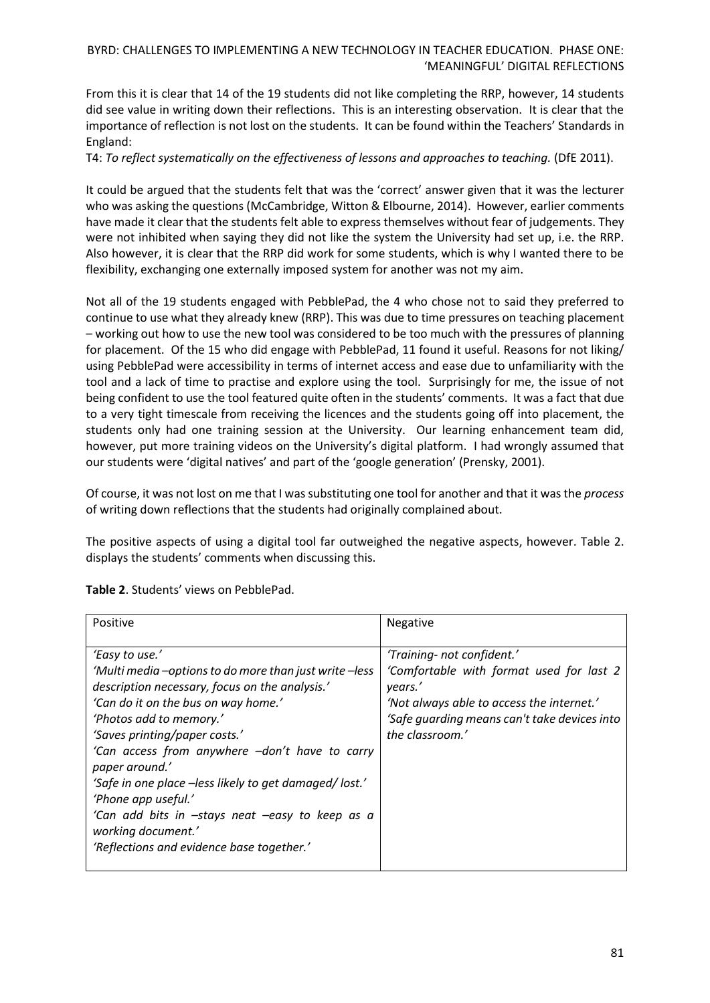From this it is clear that 14 of the 19 students did not like completing the RRP, however, 14 students did see value in writing down their reflections. This is an interesting observation. It is clear that the importance of reflection is not lost on the students. It can be found within the Teachers' Standards in England:

T4: *To reflect systematically on the effectiveness of lessons and approaches to teaching.* (DfE 2011).

It could be argued that the students felt that was the 'correct' answer given that it was the lecturer who was asking the questions (McCambridge, Witton & Elbourne, 2014). However, earlier comments have made it clear that the students felt able to express themselves without fear of judgements. They were not inhibited when saying they did not like the system the University had set up, i.e. the RRP. Also however, it is clear that the RRP did work for some students, which is why I wanted there to be flexibility, exchanging one externally imposed system for another was not my aim.

Not all of the 19 students engaged with PebblePad, the 4 who chose not to said they preferred to continue to use what they already knew (RRP). This was due to time pressures on teaching placement – working out how to use the new tool was considered to be too much with the pressures of planning for placement. Of the 15 who did engage with PebblePad, 11 found it useful. Reasons for not liking/ using PebblePad were accessibility in terms of internet access and ease due to unfamiliarity with the tool and a lack of time to practise and explore using the tool. Surprisingly for me, the issue of not being confident to use the tool featured quite often in the students' comments. It was a fact that due to a very tight timescale from receiving the licences and the students going off into placement, the students only had one training session at the University. Our learning enhancement team did, however, put more training videos on the University's digital platform. I had wrongly assumed that our students were 'digital natives' and part of the 'google generation' (Prensky, 2001).

Of course, it was not lost on me that I was substituting one tool for another and that it was the *process* of writing down reflections that the students had originally complained about.

The positive aspects of using a digital tool far outweighed the negative aspects, however. Table 2. displays the students' comments when discussing this.

| Positive                                                                                                                                                                                                                                                                                                                                                                                                                                                                                                | Negative                                                                                                                                                                                          |
|---------------------------------------------------------------------------------------------------------------------------------------------------------------------------------------------------------------------------------------------------------------------------------------------------------------------------------------------------------------------------------------------------------------------------------------------------------------------------------------------------------|---------------------------------------------------------------------------------------------------------------------------------------------------------------------------------------------------|
| 'Easy to use.'<br>'Multi media -options to do more than just write -less<br>description necessary, focus on the analysis.'<br>'Can do it on the bus on way home.'<br>'Photos add to memory.'<br>'Saves printing/paper costs.'<br>'Can access from anywhere -don't have to carry<br>paper around.'<br>'Safe in one place –less likely to get damaged/lost.'<br>'Phone app useful.'<br>'Can add bits in -stays neat -easy to keep as a<br>working document.'<br>'Reflections and evidence base together.' | 'Training- not confident.'<br>'Comfortable with format used for last 2<br>years.'<br>'Not always able to access the internet.'<br>'Safe quarding means can't take devices into<br>the classroom.' |

**Table 2**. Students' views on PebblePad.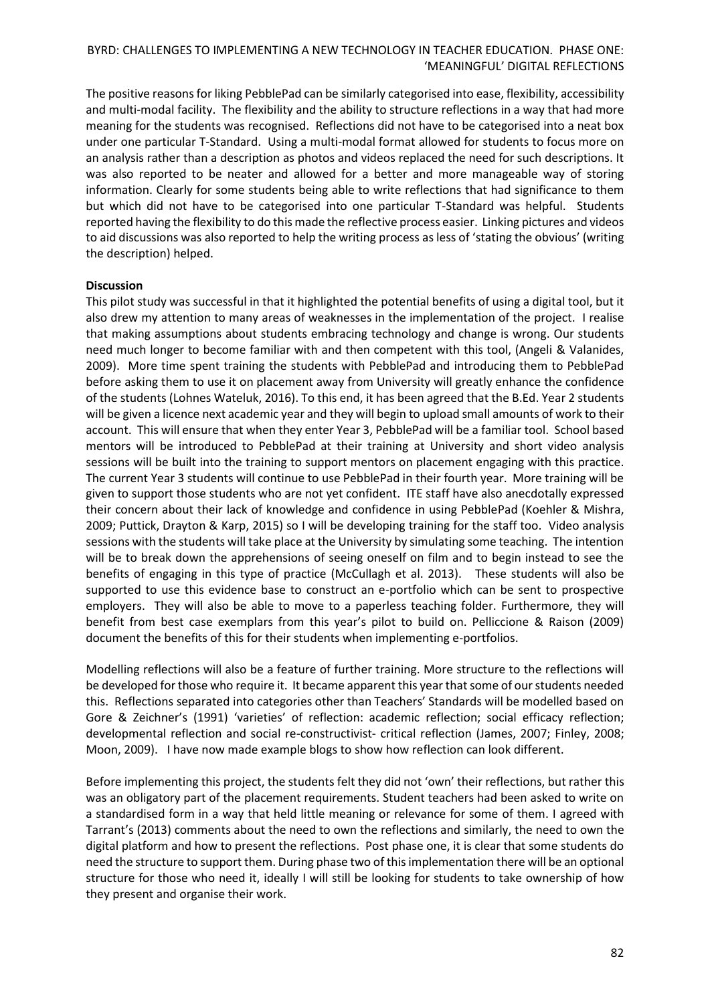The positive reasons for liking PebblePad can be similarly categorised into ease, flexibility, accessibility and multi-modal facility. The flexibility and the ability to structure reflections in a way that had more meaning for the students was recognised. Reflections did not have to be categorised into a neat box under one particular T-Standard. Using a multi-modal format allowed for students to focus more on an analysis rather than a description as photos and videos replaced the need for such descriptions. It was also reported to be neater and allowed for a better and more manageable way of storing information. Clearly for some students being able to write reflections that had significance to them but which did not have to be categorised into one particular T-Standard was helpful. Students reported having the flexibility to do this made the reflective process easier. Linking pictures and videos to aid discussions was also reported to help the writing process as less of 'stating the obvious' (writing the description) helped.

### **Discussion**

This pilot study was successful in that it highlighted the potential benefits of using a digital tool, but it also drew my attention to many areas of weaknesses in the implementation of the project. I realise that making assumptions about students embracing technology and change is wrong. Our students need much longer to become familiar with and then competent with this tool, (Angeli & Valanides, 2009).More time spent training the students with PebblePad and introducing them to PebblePad before asking them to use it on placement away from University will greatly enhance the confidence of the students (Lohnes Wateluk, 2016). To this end, it has been agreed that the B.Ed. Year 2 students will be given a licence next academic year and they will begin to upload small amounts of work to their account. This will ensure that when they enter Year 3, PebblePad will be a familiar tool. School based mentors will be introduced to PebblePad at their training at University and short video analysis sessions will be built into the training to support mentors on placement engaging with this practice. The current Year 3 students will continue to use PebblePad in their fourth year. More training will be given to support those students who are not yet confident. ITE staff have also anecdotally expressed their concern about their lack of knowledge and confidence in using PebblePad (Koehler & Mishra, 2009; Puttick, Drayton & Karp, 2015) so I will be developing training for the staff too. Video analysis sessions with the students will take place at the University by simulating some teaching. The intention will be to break down the apprehensions of seeing oneself on film and to begin instead to see the benefits of engaging in this type of practice (McCullagh et al. 2013). These students will also be supported to use this evidence base to construct an e-portfolio which can be sent to prospective employers. They will also be able to move to a paperless teaching folder. Furthermore, they will benefit from best case exemplars from this year's pilot to build on. Pelliccione & Raison (2009) document the benefits of this for their students when implementing e-portfolios.

Modelling reflections will also be a feature of further training. More structure to the reflections will be developed for those who require it. It became apparent this year that some of our students needed this. Reflections separated into categories other than Teachers' Standards will be modelled based on Gore & Zeichner's (1991) 'varieties' of reflection: academic reflection; social efficacy reflection; developmental reflection and social re-constructivist- critical reflection (James, 2007; Finley, 2008; Moon, 2009). I have now made example blogs to show how reflection can look different.

Before implementing this project, the students felt they did not 'own' their reflections, but rather this was an obligatory part of the placement requirements. Student teachers had been asked to write on a standardised form in a way that held little meaning or relevance for some of them. I agreed with Tarrant's (2013) comments about the need to own the reflections and similarly, the need to own the digital platform and how to present the reflections. Post phase one, it is clear that some students do need the structure to support them. During phase two of this implementation there will be an optional structure for those who need it, ideally I will still be looking for students to take ownership of how they present and organise their work.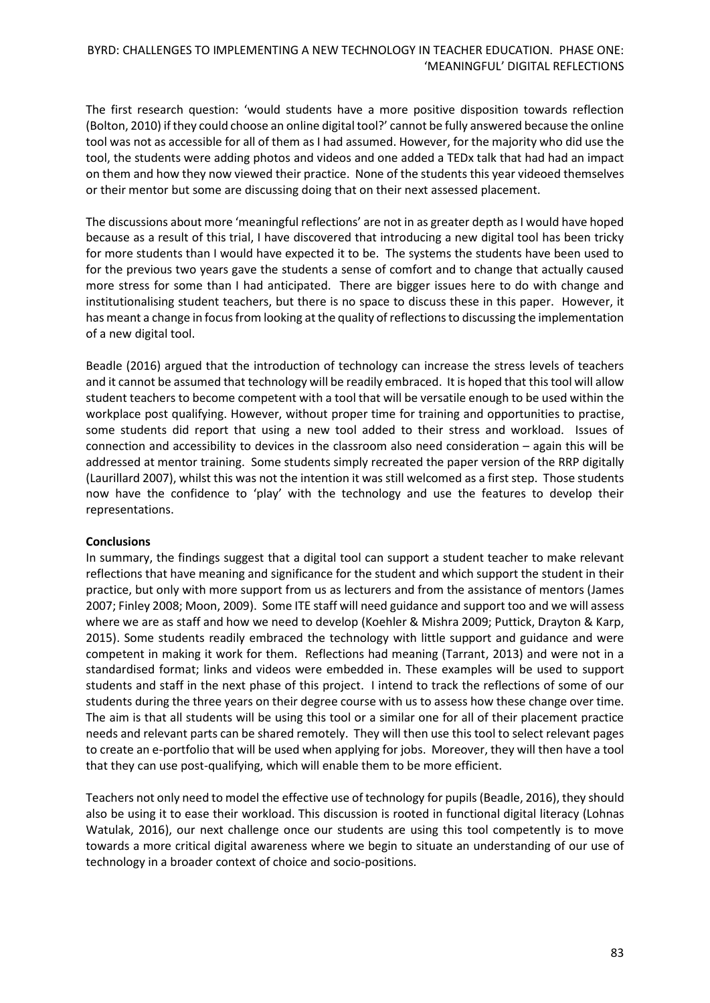The first research question: 'would students have a more positive disposition towards reflection (Bolton, 2010) if they could choose an online digital tool?' cannot be fully answered because the online tool was not as accessible for all of them as I had assumed. However, for the majority who did use the tool, the students were adding photos and videos and one added a TEDx talk that had had an impact on them and how they now viewed their practice. None of the students this year videoed themselves or their mentor but some are discussing doing that on their next assessed placement.

The discussions about more 'meaningful reflections' are not in as greater depth as I would have hoped because as a result of this trial, I have discovered that introducing a new digital tool has been tricky for more students than I would have expected it to be. The systems the students have been used to for the previous two years gave the students a sense of comfort and to change that actually caused more stress for some than I had anticipated. There are bigger issues here to do with change and institutionalising student teachers, but there is no space to discuss these in this paper. However, it has meant a change in focus from looking at the quality of reflections to discussing the implementation of a new digital tool.

Beadle (2016) argued that the introduction of technology can increase the stress levels of teachers and it cannot be assumed that technology will be readily embraced. It is hoped that this tool will allow student teachers to become competent with a tool that will be versatile enough to be used within the workplace post qualifying. However, without proper time for training and opportunities to practise, some students did report that using a new tool added to their stress and workload. Issues of connection and accessibility to devices in the classroom also need consideration – again this will be addressed at mentor training. Some students simply recreated the paper version of the RRP digitally (Laurillard 2007), whilst this was not the intention it was still welcomed as a first step. Those students now have the confidence to 'play' with the technology and use the features to develop their representations.

### **Conclusions**

In summary, the findings suggest that a digital tool can support a student teacher to make relevant reflections that have meaning and significance for the student and which support the student in their practice, but only with more support from us as lecturers and from the assistance of mentors (James 2007; Finley 2008; Moon, 2009). Some ITE staff will need guidance and support too and we will assess where we are as staff and how we need to develop (Koehler & Mishra 2009; Puttick, Drayton & Karp, 2015). Some students readily embraced the technology with little support and guidance and were competent in making it work for them. Reflections had meaning (Tarrant, 2013) and were not in a standardised format; links and videos were embedded in. These examples will be used to support students and staff in the next phase of this project. I intend to track the reflections of some of our students during the three years on their degree course with us to assess how these change over time. The aim is that all students will be using this tool or a similar one for all of their placement practice needs and relevant parts can be shared remotely. They will then use this tool to select relevant pages to create an e-portfolio that will be used when applying for jobs. Moreover, they will then have a tool that they can use post-qualifying, which will enable them to be more efficient.

Teachers not only need to model the effective use of technology for pupils (Beadle, 2016), they should also be using it to ease their workload. This discussion is rooted in functional digital literacy (Lohnas Watulak, 2016), our next challenge once our students are using this tool competently is to move towards a more critical digital awareness where we begin to situate an understanding of our use of technology in a broader context of choice and socio-positions.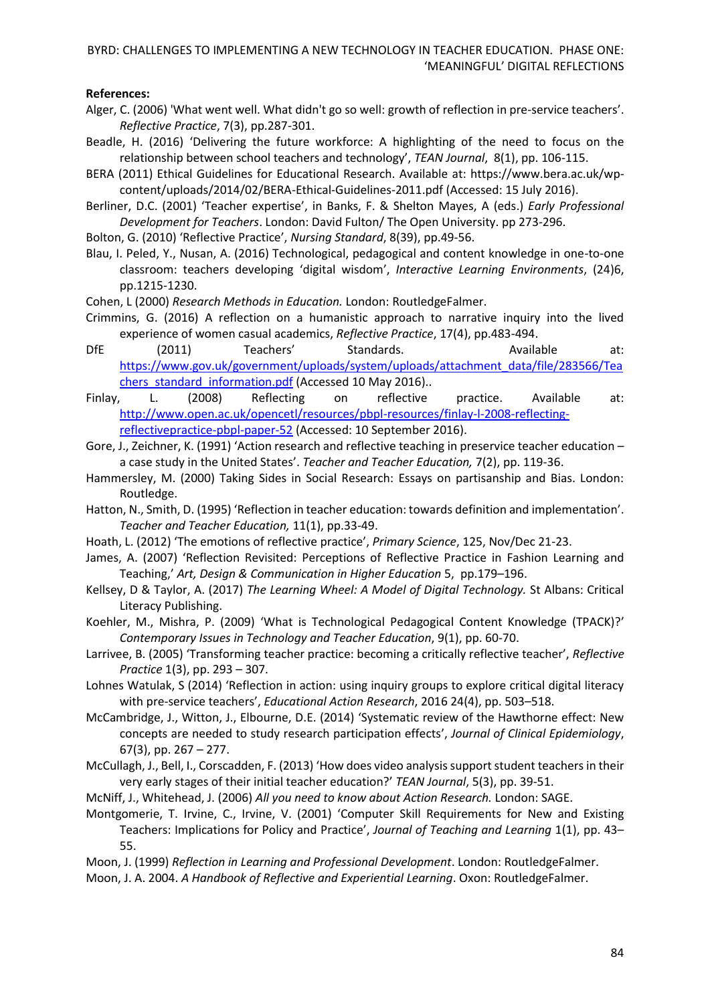### **References:**

- Alger, C. (2006) 'What went well. What didn't go so well: growth of reflection in pre-service teachers'. *Reflective Practice*, 7(3), pp.287-301.
- Beadle, H. (2016) 'Delivering the future workforce: A highlighting of the need to focus on the relationship between school teachers and technology', *TEAN Journal*, 8(1), pp. 106-115.
- BERA (2011) Ethical Guidelines for Educational Research. Available at: https://www.bera.ac.uk/wpcontent/uploads/2014/02/BERA-Ethical-Guidelines-2011.pdf (Accessed: 15 July 2016).
- Berliner, D.C. (2001) 'Teacher expertise', in Banks, F. & Shelton Mayes, A (eds.) *Early Professional Development for Teachers*. London: David Fulton/ The Open University. pp 273-296.

Bolton, G. (2010) 'Reflective Practice', *Nursing Standard*, 8(39), pp.49-56.

- Blau, I. Peled, Y., Nusan, A. (2016) Technological, pedagogical and content knowledge in one-to-one classroom: teachers developing 'digital wisdom', *Interactive Learning Environments*, (24)6, pp.1215-1230.
- Cohen, L (2000) *Research Methods in [Education.](http://eds.b.ebscohost.com.ezproxy.derby.ac.uk/eds/catalogitem/get?id=cat01750a%7CAN%7Cudc.590834&sid=19dcc38a-3fe1-4f29-a484-b031093f2c7f%40sessionmgr120&vid=11)* London: RoutledgeFalmer.
- Crimmins, G. (2016) A reflection on a humanistic approach to narrative inquiry into the lived experience of women casual academics, *Reflective Practice*, 17(4), pp.483-494.
- DfE (2011) Teachers' Standards. Available at: [https://www.gov.uk/government/uploads/system/uploads/attachment\\_data/file/283566/Tea](https://www.gov.uk/government/uploads/system/uploads/attachment_data/file/283566/Teachers_standard_information.pdf) [chers\\_standard\\_information.pdf](https://www.gov.uk/government/uploads/system/uploads/attachment_data/file/283566/Teachers_standard_information.pdf) (Accessed 10 May 2016)..
- Finlay, L. (2008) Reflecting on reflective practice. Available at: [http://www.open.ac.uk/opencetl/resources/pbpl-resources/finlay-l-2008-reflecting](http://www.open.ac.uk/opencetl/resources/pbpl-resources/finlay-l-2008-reflecting-reflectivepractice-pbpl-paper-52)[reflectivepractice-pbpl-paper-52](http://www.open.ac.uk/opencetl/resources/pbpl-resources/finlay-l-2008-reflecting-reflectivepractice-pbpl-paper-52) (Accessed: 10 September 2016).
- Gore, J., Zeichner, K. (1991) 'Action research and reflective teaching in preservice teacher education a case study in the United States'. *Teacher and Teacher Education,* 7(2), pp. 119-36.
- Hammersley, M. (2000) Taking Sides in Social Research: Essays on partisanship and Bias. London: Routledge.
- Hatton, N., Smith, D. (1995) 'Reflection in teacher education: towards definition and implementation'. *Teacher and Teacher Education,* 11(1), pp.33-49.
- Hoath, L. (2012) 'The emotions of reflective practice', *Primary Science*, 125, Nov/Dec 21-23.
- James, A. (2007) 'Reflection Revisited: Perceptions of Reflective Practice in Fashion Learning and Teaching,' *Art, Design & Communication in Higher Education* 5, pp.179–196.
- Kellsey, D & Taylor, A. (2017) *The Learning Wheel: A Model of Digital Technology.* St Albans: Critical Literacy Publishing.
- Koehler, M., Mishra, P. (2009) 'What is Technological Pedagogical Content Knowledge (TPACK)?' *Contemporary Issues in Technology and Teacher Education*, 9(1), pp. 60-70.
- Larrivee, B. (2005) 'Transforming teacher practice: becoming a critically reflective teacher', *Reflective Practice* 1(3), pp. 293 – 307.
- Lohnes Watulak, S (2014) 'Reflection in action: using inquiry groups to explore critical digital literacy with pre-service teachers', *Educational Action Research*, 2016 24(4), pp. 503–518.
- McCambridge, J., Witton, J., Elbourne, D.E. (2014) 'Systematic review of the Hawthorne effect: New concepts are needed to study research participation effects', *Journal of Clinical Epidemiology*, 67(3), pp. 267 – 277.
- McCullagh, J., Bell, I., Corscadden, F. (2013) 'How does video analysis support student teachers in their very early stages of their initial teacher education?' *TEAN Journal*, 5(3), pp. 39-51.
- McNiff, J., Whitehead, J. (2006) *All you need to know about Action Research.* London: SAGE.
- Montgomerie, T. Irvine, C., Irvine, V. (2001) 'Computer Skill Requirements for New and Existing Teachers: Implications for Policy and Practice', *Journal of Teaching and Learning* 1(1), pp. 43– 55.
- Moon, J. (1999) *Reflection in Learning and Professional Development*. London: RoutledgeFalmer.
- Moon, J. A. 2004. *A Handbook of Reflective and Experiential Learning*. Oxon: RoutledgeFalmer.